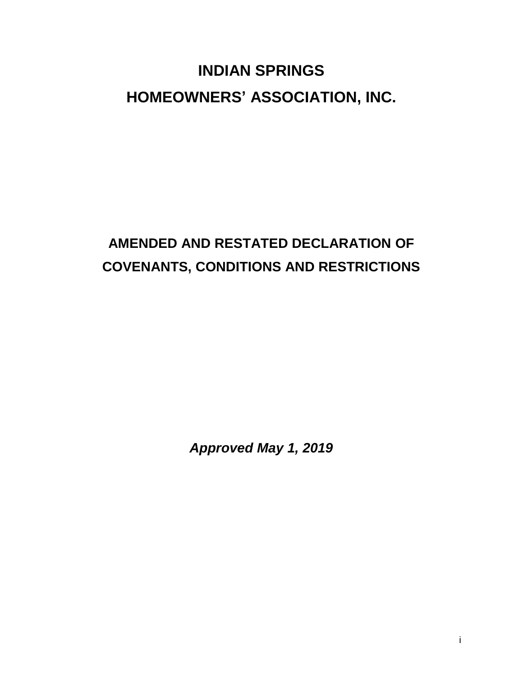# **INDIAN SPRINGS HOMEOWNERS' ASSOCIATION, INC.**

## **AMENDED AND RESTATED DECLARATION OF COVENANTS, CONDITIONS AND RESTRICTIONS**

*Approved May 1, 2019*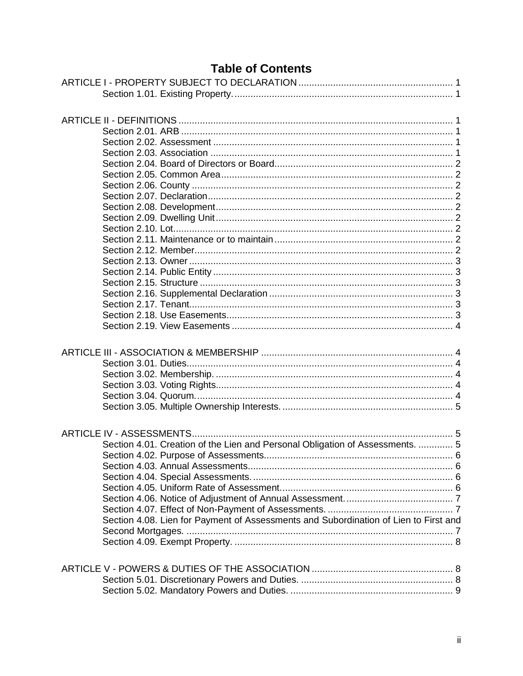### **Table of Contents**

| Section 4.01. Creation of the Lien and Personal Obligation of Assessments.  5        |  |
|--------------------------------------------------------------------------------------|--|
|                                                                                      |  |
|                                                                                      |  |
|                                                                                      |  |
|                                                                                      |  |
|                                                                                      |  |
|                                                                                      |  |
|                                                                                      |  |
| Section 4.08. Lien for Payment of Assessments and Subordination of Lien to First and |  |
|                                                                                      |  |
|                                                                                      |  |
|                                                                                      |  |
|                                                                                      |  |
|                                                                                      |  |
|                                                                                      |  |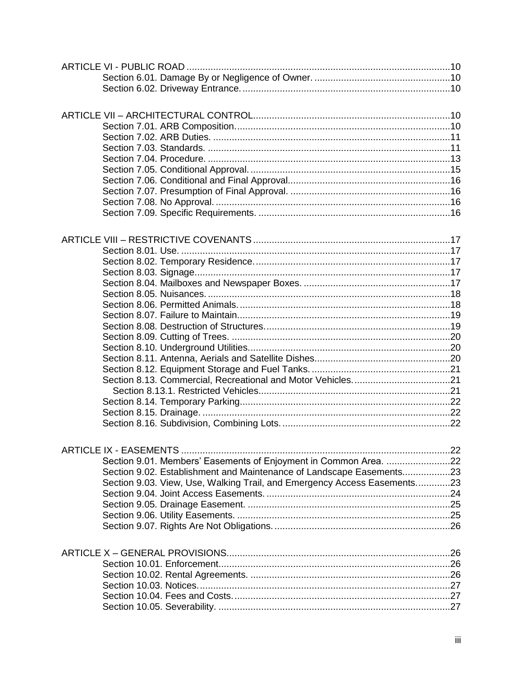| Section 9.01. Members' Easements of Enjoyment in Common Area. 22         |  |
|--------------------------------------------------------------------------|--|
| Section 9.02. Establishment and Maintenance of Landscape Easements23     |  |
| Section 9.03. View, Use, Walking Trail, and Emergency Access Easements23 |  |
|                                                                          |  |
|                                                                          |  |
|                                                                          |  |
|                                                                          |  |
|                                                                          |  |
|                                                                          |  |
|                                                                          |  |
|                                                                          |  |
|                                                                          |  |
|                                                                          |  |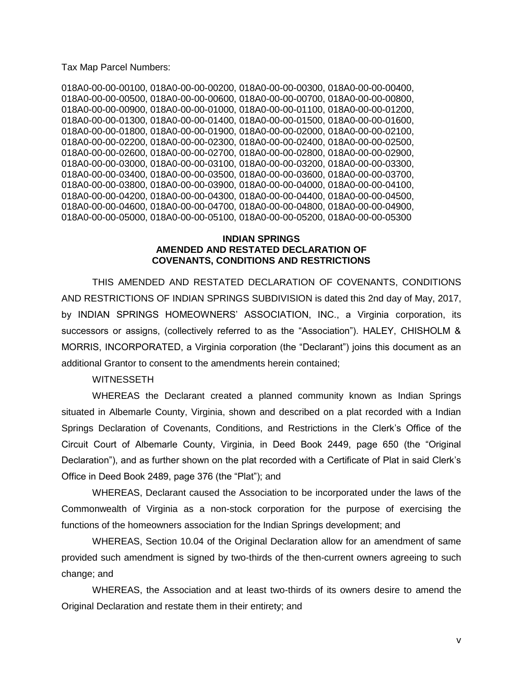Tax Map Parcel Numbers:

018A0-00-00-00100, 018A0-00-00-00200, 018A0-00-00-00300, 018A0-00-00-00400, 018A0-00-00-00500, 018A0-00-00-00600, 018A0-00-00-00700, 018A0-00-00-00800, 018A0-00-00-00900, 018A0-00-00-01000, 018A0-00-00-01100, 018A0-00-00-01200, 018A0-00-00-01300, 018A0-00-00-01400, 018A0-00-00-01500, 018A0-00-00-01600, 018A0-00-00-01800, 018A0-00-00-01900, 018A0-00-00-02000, 018A0-00-00-02100, 018A0-00-00-02200, 018A0-00-00-02300, 018A0-00-00-02400, 018A0-00-00-02500, 018A0-00-00-02600, 018A0-00-00-02700, 018A0-00-00-02800, 018A0-00-00-02900, 018A0-00-00-03000, 018A0-00-00-03100, 018A0-00-00-03200, 018A0-00-00-03300, 018A0-00-00-03400, 018A0-00-00-03500, 018A0-00-00-03600, 018A0-00-00-03700, 018A0-00-00-03800, 018A0-00-00-03900, 018A0-00-00-04000, 018A0-00-00-04100, 018A0-00-00-04200, 018A0-00-00-04300, 018A0-00-00-04400, 018A0-00-00-04500, 018A0-00-00-04600, 018A0-00-00-04700, 018A0-00-00-04800, 018A0-00-00-04900, 018A0-00-00-05000, 018A0-00-00-05100, 018A0-00-00-05200, 018A0-00-00-05300

#### **INDIAN SPRINGS AMENDED AND RESTATED DECLARATION OF COVENANTS, CONDITIONS AND RESTRICTIONS**

THIS AMENDED AND RESTATED DECLARATION OF COVENANTS, CONDITIONS AND RESTRICTIONS OF INDIAN SPRINGS SUBDIVISION is dated this 2nd day of May, 2017, by INDIAN SPRINGS HOMEOWNERS' ASSOCIATION, INC., a Virginia corporation, its successors or assigns, (collectively referred to as the "Association"). HALEY, CHISHOLM & MORRIS, INCORPORATED, a Virginia corporation (the "Declarant") joins this document as an additional Grantor to consent to the amendments herein contained;

#### **WITNESSETH**

WHEREAS the Declarant created a planned community known as Indian Springs situated in Albemarle County, Virginia, shown and described on a plat recorded with a Indian Springs Declaration of Covenants, Conditions, and Restrictions in the Clerk's Office of the Circuit Court of Albemarle County, Virginia, in Deed Book 2449, page 650 (the "Original Declaration"), and as further shown on the plat recorded with a Certificate of Plat in said Clerk's Office in Deed Book 2489, page 376 (the "Plat"); and

WHEREAS, Declarant caused the Association to be incorporated under the laws of the Commonwealth of Virginia as a non-stock corporation for the purpose of exercising the functions of the homeowners association for the Indian Springs development; and

WHEREAS, Section 10.04 of the Original Declaration allow for an amendment of same provided such amendment is signed by two-thirds of the then-current owners agreeing to such change; and

WHEREAS, the Association and at least two-thirds of its owners desire to amend the Original Declaration and restate them in their entirety; and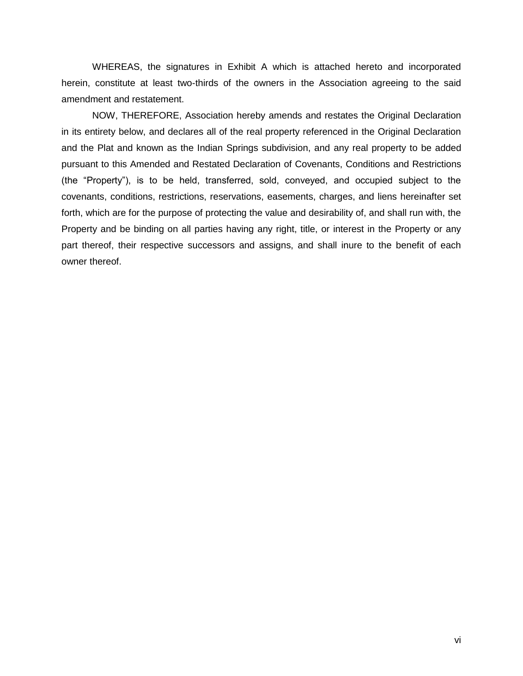WHEREAS, the signatures in Exhibit A which is attached hereto and incorporated herein, constitute at least two-thirds of the owners in the Association agreeing to the said amendment and restatement.

NOW, THEREFORE, Association hereby amends and restates the Original Declaration in its entirety below, and declares all of the real property referenced in the Original Declaration and the Plat and known as the Indian Springs subdivision, and any real property to be added pursuant to this Amended and Restated Declaration of Covenants, Conditions and Restrictions (the "Property"), is to be held, transferred, sold, conveyed, and occupied subject to the covenants, conditions, restrictions, reservations, easements, charges, and liens hereinafter set forth, which are for the purpose of protecting the value and desirability of, and shall run with, the Property and be binding on all parties having any right, title, or interest in the Property or any part thereof, their respective successors and assigns, and shall inure to the benefit of each owner thereof.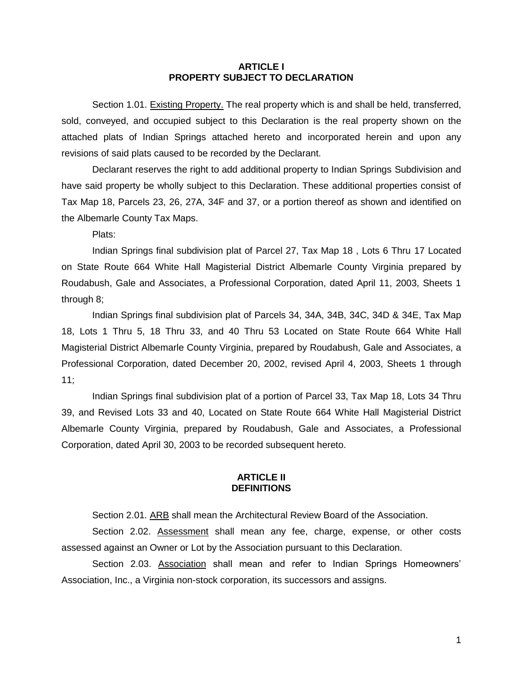#### **ARTICLE I PROPERTY SUBJECT TO DECLARATION**

<span id="page-6-1"></span><span id="page-6-0"></span>Section 1.01. Existing Property. The real property which is and shall be held, transferred, sold, conveyed, and occupied subject to this Declaration is the real property shown on the attached plats of Indian Springs attached hereto and incorporated herein and upon any revisions of said plats caused to be recorded by the Declarant.

Declarant reserves the right to add additional property to Indian Springs Subdivision and have said property be wholly subject to this Declaration. These additional properties consist of Tax Map 18, Parcels 23, 26, 27A, 34F and 37, or a portion thereof as shown and identified on the Albemarle County Tax Maps.

Plats:

Indian Springs final subdivision plat of Parcel 27, Tax Map 18 , Lots 6 Thru 17 Located on State Route 664 White Hall Magisterial District Albemarle County Virginia prepared by Roudabush, Gale and Associates, a Professional Corporation, dated April 11, 2003, Sheets 1 through 8;

Indian Springs final subdivision plat of Parcels 34, 34A, 34B, 34C, 34D & 34E, Tax Map 18, Lots 1 Thru 5, 18 Thru 33, and 40 Thru 53 Located on State Route 664 White Hall Magisterial District Albemarle County Virginia, prepared by Roudabush, Gale and Associates, a Professional Corporation, dated December 20, 2002, revised April 4, 2003, Sheets 1 through 11;

Indian Springs final subdivision plat of a portion of Parcel 33, Tax Map 18, Lots 34 Thru 39, and Revised Lots 33 and 40, Located on State Route 664 White Hall Magisterial District Albemarle County Virginia, prepared by Roudabush, Gale and Associates, a Professional Corporation, dated April 30, 2003 to be recorded subsequent hereto.

#### **ARTICLE II DEFINITIONS**

<span id="page-6-2"></span>Section 2.01. ARB shall mean the Architectural Review Board of the Association.

<span id="page-6-4"></span><span id="page-6-3"></span>Section 2.02. Assessment shall mean any fee, charge, expense, or other costs assessed against an Owner or Lot by the Association pursuant to this Declaration.

<span id="page-6-5"></span>Section 2.03. Association shall mean and refer to Indian Springs Homeowners' Association, Inc., a Virginia non-stock corporation, its successors and assigns.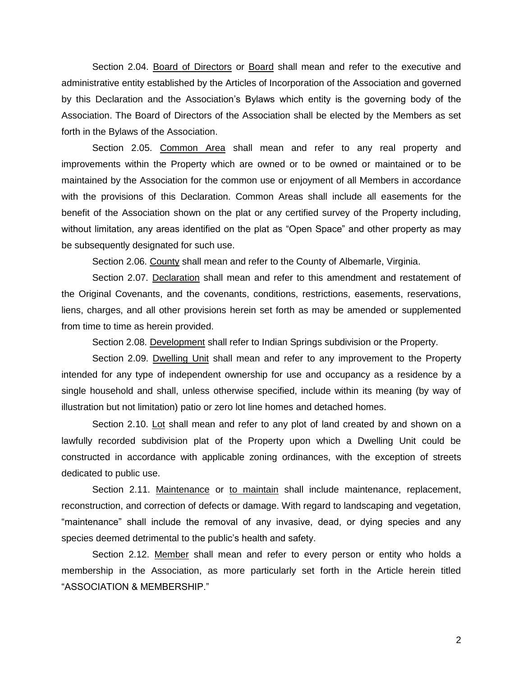<span id="page-7-0"></span>Section 2.04. Board of Directors or Board shall mean and refer to the executive and administrative entity established by the Articles of Incorporation of the Association and governed by this Declaration and the Association's Bylaws which entity is the governing body of the Association. The Board of Directors of the Association shall be elected by the Members as set forth in the Bylaws of the Association.

<span id="page-7-1"></span>Section 2.05. Common Area shall mean and refer to any real property and improvements within the Property which are owned or to be owned or maintained or to be maintained by the Association for the common use or enjoyment of all Members in accordance with the provisions of this Declaration. Common Areas shall include all easements for the benefit of the Association shown on the plat or any certified survey of the Property including, without limitation, any areas identified on the plat as "Open Space" and other property as may be subsequently designated for such use.

Section 2.06. County shall mean and refer to the County of Albemarle, Virginia.

<span id="page-7-3"></span><span id="page-7-2"></span>Section 2.07. Declaration shall mean and refer to this amendment and restatement of the Original Covenants, and the covenants, conditions, restrictions, easements, reservations, liens, charges, and all other provisions herein set forth as may be amended or supplemented from time to time as herein provided.

Section 2.08. Development shall refer to Indian Springs subdivision or the Property.

<span id="page-7-5"></span><span id="page-7-4"></span>Section 2.09. Dwelling Unit shall mean and refer to any improvement to the Property intended for any type of independent ownership for use and occupancy as a residence by a single household and shall, unless otherwise specified, include within its meaning (by way of illustration but not limitation) patio or zero lot line homes and detached homes.

<span id="page-7-6"></span>Section 2.10. Lot shall mean and refer to any plot of land created by and shown on a lawfully recorded subdivision plat of the Property upon which a Dwelling Unit could be constructed in accordance with applicable zoning ordinances, with the exception of streets dedicated to public use.

<span id="page-7-7"></span>Section 2.11. Maintenance or to maintain shall include maintenance, replacement, reconstruction, and correction of defects or damage. With regard to landscaping and vegetation, "maintenance" shall include the removal of any invasive, dead, or dying species and any species deemed detrimental to the public's health and safety.

<span id="page-7-8"></span>Section 2.12. Member shall mean and refer to every person or entity who holds a membership in the Association, as more particularly set forth in the Article herein titled "ASSOCIATION & MEMBERSHIP."

2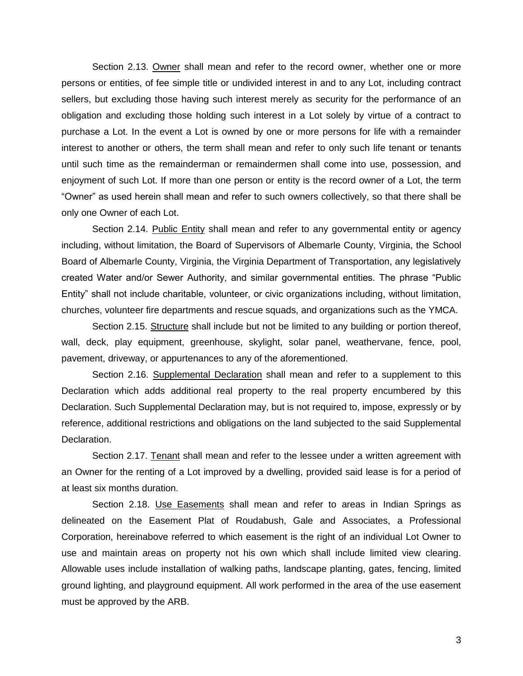<span id="page-8-0"></span>Section 2.13. Owner shall mean and refer to the record owner, whether one or more persons or entities, of fee simple title or undivided interest in and to any Lot, including contract sellers, but excluding those having such interest merely as security for the performance of an obligation and excluding those holding such interest in a Lot solely by virtue of a contract to purchase a Lot. In the event a Lot is owned by one or more persons for life with a remainder interest to another or others, the term shall mean and refer to only such life tenant or tenants until such time as the remainderman or remaindermen shall come into use, possession, and enjoyment of such Lot. If more than one person or entity is the record owner of a Lot, the term "Owner" as used herein shall mean and refer to such owners collectively, so that there shall be only one Owner of each Lot.

<span id="page-8-1"></span>Section 2.14. Public Entity shall mean and refer to any governmental entity or agency including, without limitation, the Board of Supervisors of Albemarle County, Virginia, the School Board of Albemarle County, Virginia, the Virginia Department of Transportation, any legislatively created Water and/or Sewer Authority, and similar governmental entities. The phrase "Public Entity" shall not include charitable, volunteer, or civic organizations including, without limitation, churches, volunteer fire departments and rescue squads, and organizations such as the YMCA.

<span id="page-8-2"></span>Section 2.15. Structure shall include but not be limited to any building or portion thereof, wall, deck, play equipment, greenhouse, skylight, solar panel, weathervane, fence, pool, pavement, driveway, or appurtenances to any of the aforementioned.

<span id="page-8-3"></span>Section 2.16. Supplemental Declaration shall mean and refer to a supplement to this Declaration which adds additional real property to the real property encumbered by this Declaration. Such Supplemental Declaration may, but is not required to, impose, expressly or by reference, additional restrictions and obligations on the land subjected to the said Supplemental Declaration.

<span id="page-8-4"></span>Section 2.17. Tenant shall mean and refer to the lessee under a written agreement with an Owner for the renting of a Lot improved by a dwelling, provided said lease is for a period of at least six months duration.

<span id="page-8-5"></span>Section 2.18. Use Easements shall mean and refer to areas in Indian Springs as delineated on the Easement Plat of Roudabush, Gale and Associates, a Professional Corporation, hereinabove referred to which easement is the right of an individual Lot Owner to use and maintain areas on property not his own which shall include limited view clearing. Allowable uses include installation of walking paths, landscape planting, gates, fencing, limited ground lighting, and playground equipment. All work performed in the area of the use easement must be approved by the ARB.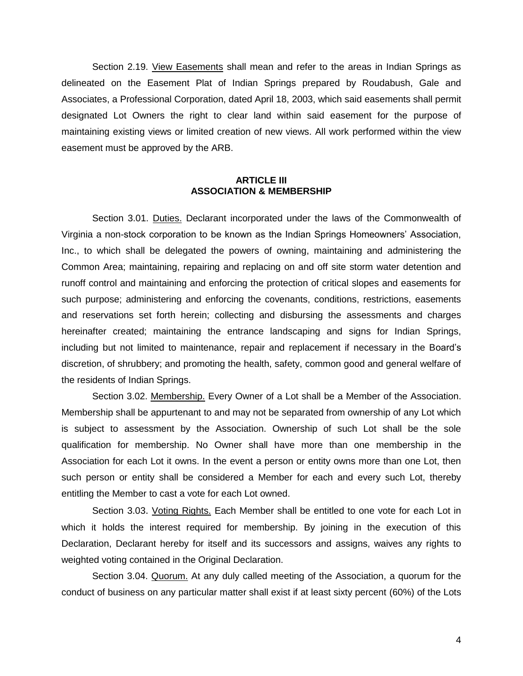<span id="page-9-0"></span>Section 2.19. View Easements shall mean and refer to the areas in Indian Springs as delineated on the Easement Plat of Indian Springs prepared by Roudabush, Gale and Associates, a Professional Corporation, dated April 18, 2003, which said easements shall permit designated Lot Owners the right to clear land within said easement for the purpose of maintaining existing views or limited creation of new views. All work performed within the view easement must be approved by the ARB.

#### **ARTICLE III ASSOCIATION & MEMBERSHIP**

<span id="page-9-2"></span><span id="page-9-1"></span>Section 3.01. Duties. Declarant incorporated under the laws of the Commonwealth of Virginia a non-stock corporation to be known as the Indian Springs Homeowners' Association, Inc., to which shall be delegated the powers of owning, maintaining and administering the Common Area; maintaining, repairing and replacing on and off site storm water detention and runoff control and maintaining and enforcing the protection of critical slopes and easements for such purpose; administering and enforcing the covenants, conditions, restrictions, easements and reservations set forth herein; collecting and disbursing the assessments and charges hereinafter created; maintaining the entrance landscaping and signs for Indian Springs, including but not limited to maintenance, repair and replacement if necessary in the Board's discretion, of shrubbery; and promoting the health, safety, common good and general welfare of the residents of Indian Springs.

<span id="page-9-3"></span>Section 3.02. Membership. Every Owner of a Lot shall be a Member of the Association. Membership shall be appurtenant to and may not be separated from ownership of any Lot which is subject to assessment by the Association. Ownership of such Lot shall be the sole qualification for membership. No Owner shall have more than one membership in the Association for each Lot it owns. In the event a person or entity owns more than one Lot, then such person or entity shall be considered a Member for each and every such Lot, thereby entitling the Member to cast a vote for each Lot owned.

<span id="page-9-4"></span>Section 3.03. *Voting Rights*. Each Member shall be entitled to one vote for each Lot in which it holds the interest required for membership. By joining in the execution of this Declaration, Declarant hereby for itself and its successors and assigns, waives any rights to weighted voting contained in the Original Declaration.

<span id="page-9-5"></span>Section 3.04. Quorum. At any duly called meeting of the Association, a quorum for the conduct of business on any particular matter shall exist if at least sixty percent (60%) of the Lots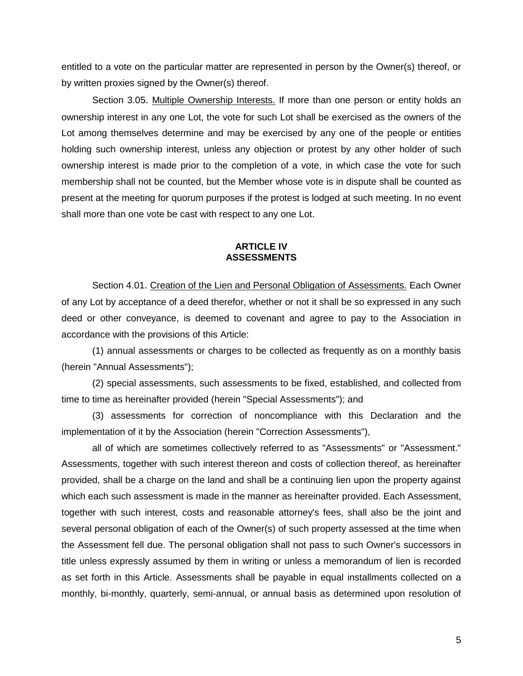entitled to a vote on the particular matter are represented in person by the Owner(s) thereof, or by written proxies signed by the Owner(s) thereof.

<span id="page-10-0"></span>Section 3.05. Multiple Ownership Interests. If more than one person or entity holds an ownership interest in any one Lot, the vote for such Lot shall be exercised as the owners of the Lot among themselves determine and may be exercised by any one of the people or entities holding such ownership interest, unless any objection or protest by any other holder of such ownership interest is made prior to the completion of a vote, in which case the vote for such membership shall not be counted, but the Member whose vote is in dispute shall be counted as present at the meeting for quorum purposes if the protest is lodged at such meeting. In no event shall more than one vote be cast with respect to any one Lot.

#### **ARTICLE IV ASSESSMENTS**

<span id="page-10-2"></span><span id="page-10-1"></span>Section 4.01. Creation of the Lien and Personal Obligation of Assessments. Each Owner of any Lot by acceptance of a deed therefor, whether or not it shall be so expressed in any such deed or other conveyance, is deemed to covenant and agree to pay to the Association in accordance with the provisions of this Article:

(1) annual assessments or charges to be collected as frequently as on a monthly basis (herein "Annual Assessments");

(2) special assessments, such assessments to be fixed, established, and collected from time to time as hereinafter provided (herein "Special Assessments"); and

(3) assessments for correction of noncompliance with this Declaration and the implementation of it by the Association (herein "Correction Assessments"),

all of which are sometimes collectively referred to as "Assessments" or "Assessment." Assessments, together with such interest thereon and costs of collection thereof, as hereinafter provided, shall be a charge on the land and shall be a continuing lien upon the property against which each such assessment is made in the manner as hereinafter provided. Each Assessment, together with such interest, costs and reasonable attorney's fees, shall also be the joint and several personal obligation of each of the Owner(s) of such property assessed at the time when the Assessment fell due. The personal obligation shall not pass to such Owner's successors in title unless expressly assumed by them in writing or unless a memorandum of lien is recorded as set forth in this Article. Assessments shall be payable in equal installments collected on a monthly, bi-monthly, quarterly, semi-annual, or annual basis as determined upon resolution of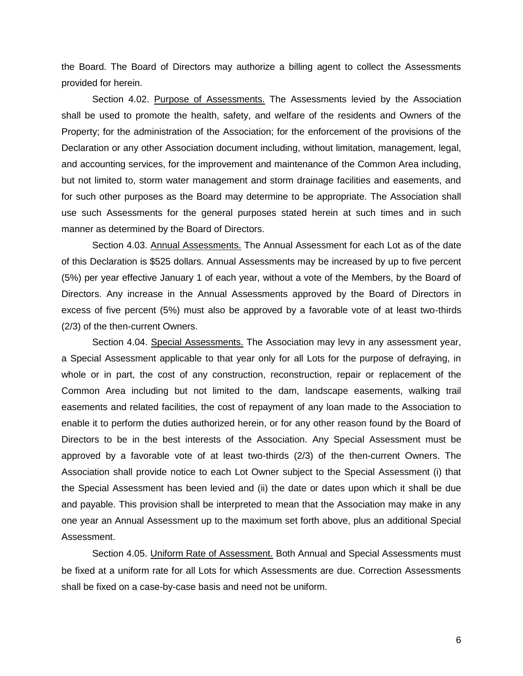the Board. The Board of Directors may authorize a billing agent to collect the Assessments provided for herein.

<span id="page-11-0"></span>Section 4.02. Purpose of Assessments. The Assessments levied by the Association shall be used to promote the health, safety, and welfare of the residents and Owners of the Property; for the administration of the Association; for the enforcement of the provisions of the Declaration or any other Association document including, without limitation, management, legal, and accounting services, for the improvement and maintenance of the Common Area including, but not limited to, storm water management and storm drainage facilities and easements, and for such other purposes as the Board may determine to be appropriate. The Association shall use such Assessments for the general purposes stated herein at such times and in such manner as determined by the Board of Directors.

<span id="page-11-1"></span>Section 4.03. Annual Assessments. The Annual Assessment for each Lot as of the date of this Declaration is \$525 dollars. Annual Assessments may be increased by up to five percent (5%) per year effective January 1 of each year, without a vote of the Members, by the Board of Directors. Any increase in the Annual Assessments approved by the Board of Directors in excess of five percent (5%) must also be approved by a favorable vote of at least two-thirds (2/3) of the then-current Owners.

<span id="page-11-2"></span>Section 4.04. Special Assessments. The Association may levy in any assessment year, a Special Assessment applicable to that year only for all Lots for the purpose of defraying, in whole or in part, the cost of any construction, reconstruction, repair or replacement of the Common Area including but not limited to the dam, landscape easements, walking trail easements and related facilities, the cost of repayment of any loan made to the Association to enable it to perform the duties authorized herein, or for any other reason found by the Board of Directors to be in the best interests of the Association. Any Special Assessment must be approved by a favorable vote of at least two-thirds (2/3) of the then-current Owners. The Association shall provide notice to each Lot Owner subject to the Special Assessment (i) that the Special Assessment has been levied and (ii) the date or dates upon which it shall be due and payable. This provision shall be interpreted to mean that the Association may make in any one year an Annual Assessment up to the maximum set forth above, plus an additional Special Assessment.

<span id="page-11-3"></span>Section 4.05. Uniform Rate of Assessment. Both Annual and Special Assessments must be fixed at a uniform rate for all Lots for which Assessments are due. Correction Assessments shall be fixed on a case-by-case basis and need not be uniform.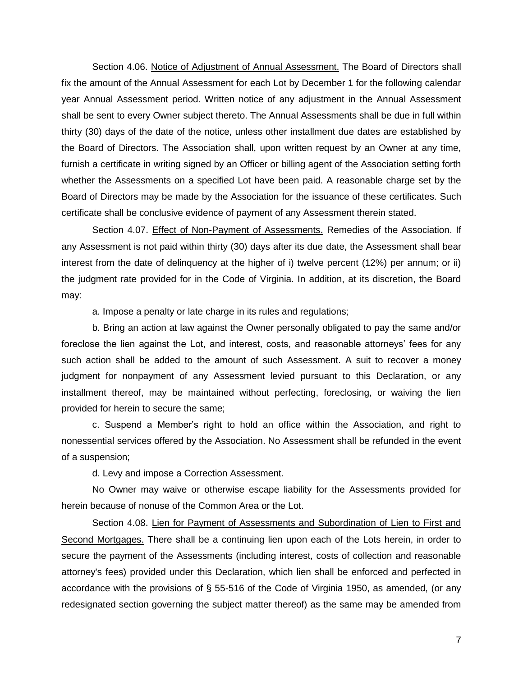<span id="page-12-0"></span>Section 4.06. Notice of Adjustment of Annual Assessment. The Board of Directors shall fix the amount of the Annual Assessment for each Lot by December 1 for the following calendar year Annual Assessment period. Written notice of any adjustment in the Annual Assessment shall be sent to every Owner subject thereto. The Annual Assessments shall be due in full within thirty (30) days of the date of the notice, unless other installment due dates are established by the Board of Directors. The Association shall, upon written request by an Owner at any time, furnish a certificate in writing signed by an Officer or billing agent of the Association setting forth whether the Assessments on a specified Lot have been paid. A reasonable charge set by the Board of Directors may be made by the Association for the issuance of these certificates. Such certificate shall be conclusive evidence of payment of any Assessment therein stated.

<span id="page-12-1"></span>Section 4.07. Effect of Non-Payment of Assessments. Remedies of the Association. If any Assessment is not paid within thirty (30) days after its due date, the Assessment shall bear interest from the date of delinquency at the higher of i) twelve percent (12%) per annum; or ii) the judgment rate provided for in the Code of Virginia. In addition, at its discretion, the Board may:

a. Impose a penalty or late charge in its rules and regulations;

b. Bring an action at law against the Owner personally obligated to pay the same and/or foreclose the lien against the Lot, and interest, costs, and reasonable attorneys' fees for any such action shall be added to the amount of such Assessment. A suit to recover a money judgment for nonpayment of any Assessment levied pursuant to this Declaration, or any installment thereof, may be maintained without perfecting, foreclosing, or waiving the lien provided for herein to secure the same;

c. Suspend a Member's right to hold an office within the Association, and right to nonessential services offered by the Association. No Assessment shall be refunded in the event of a suspension;

d. Levy and impose a Correction Assessment.

No Owner may waive or otherwise escape liability for the Assessments provided for herein because of nonuse of the Common Area or the Lot.

<span id="page-12-2"></span>Section 4.08. Lien for Payment of Assessments and Subordination of Lien to First and Second Mortgages. There shall be a continuing lien upon each of the Lots herein, in order to secure the payment of the Assessments (including interest, costs of collection and reasonable attorney's fees) provided under this Declaration, which lien shall be enforced and perfected in accordance with the provisions of § 55-516 of the Code of Virginia 1950, as amended, (or any redesignated section governing the subject matter thereof) as the same may be amended from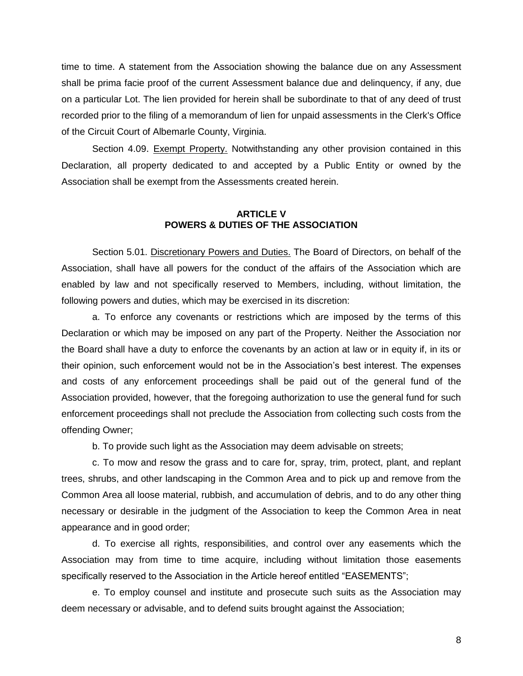time to time. A statement from the Association showing the balance due on any Assessment shall be prima facie proof of the current Assessment balance due and delinquency, if any, due on a particular Lot. The lien provided for herein shall be subordinate to that of any deed of trust recorded prior to the filing of a memorandum of lien for unpaid assessments in the Clerk's Office of the Circuit Court of Albemarle County, Virginia.

<span id="page-13-0"></span>Section 4.09. Exempt Property. Notwithstanding any other provision contained in this Declaration, all property dedicated to and accepted by a Public Entity or owned by the Association shall be exempt from the Assessments created herein.

#### **ARTICLE V POWERS & DUTIES OF THE ASSOCIATION**

<span id="page-13-2"></span><span id="page-13-1"></span>Section 5.01. Discretionary Powers and Duties. The Board of Directors, on behalf of the Association, shall have all powers for the conduct of the affairs of the Association which are enabled by law and not specifically reserved to Members, including, without limitation, the following powers and duties, which may be exercised in its discretion:

a. To enforce any covenants or restrictions which are imposed by the terms of this Declaration or which may be imposed on any part of the Property. Neither the Association nor the Board shall have a duty to enforce the covenants by an action at law or in equity if, in its or their opinion, such enforcement would not be in the Association's best interest. The expenses and costs of any enforcement proceedings shall be paid out of the general fund of the Association provided, however, that the foregoing authorization to use the general fund for such enforcement proceedings shall not preclude the Association from collecting such costs from the offending Owner;

b. To provide such light as the Association may deem advisable on streets;

c. To mow and resow the grass and to care for, spray, trim, protect, plant, and replant trees, shrubs, and other landscaping in the Common Area and to pick up and remove from the Common Area all loose material, rubbish, and accumulation of debris, and to do any other thing necessary or desirable in the judgment of the Association to keep the Common Area in neat appearance and in good order;

d. To exercise all rights, responsibilities, and control over any easements which the Association may from time to time acquire, including without limitation those easements specifically reserved to the Association in the Article hereof entitled "EASEMENTS";

e. To employ counsel and institute and prosecute such suits as the Association may deem necessary or advisable, and to defend suits brought against the Association;

8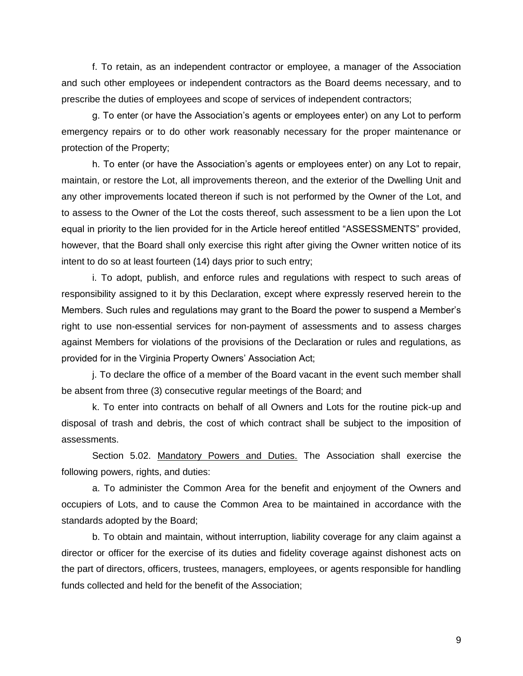f. To retain, as an independent contractor or employee, a manager of the Association and such other employees or independent contractors as the Board deems necessary, and to prescribe the duties of employees and scope of services of independent contractors;

g. To enter (or have the Association's agents or employees enter) on any Lot to perform emergency repairs or to do other work reasonably necessary for the proper maintenance or protection of the Property;

h. To enter (or have the Association's agents or employees enter) on any Lot to repair, maintain, or restore the Lot, all improvements thereon, and the exterior of the Dwelling Unit and any other improvements located thereon if such is not performed by the Owner of the Lot, and to assess to the Owner of the Lot the costs thereof, such assessment to be a lien upon the Lot equal in priority to the lien provided for in the Article hereof entitled "ASSESSMENTS" provided, however, that the Board shall only exercise this right after giving the Owner written notice of its intent to do so at least fourteen (14) days prior to such entry;

i. To adopt, publish, and enforce rules and regulations with respect to such areas of responsibility assigned to it by this Declaration, except where expressly reserved herein to the Members. Such rules and regulations may grant to the Board the power to suspend a Member's right to use non-essential services for non-payment of assessments and to assess charges against Members for violations of the provisions of the Declaration or rules and regulations, as provided for in the Virginia Property Owners' Association Act;

j. To declare the office of a member of the Board vacant in the event such member shall be absent from three (3) consecutive regular meetings of the Board; and

k. To enter into contracts on behalf of all Owners and Lots for the routine pick-up and disposal of trash and debris, the cost of which contract shall be subject to the imposition of assessments.

<span id="page-14-0"></span>Section 5.02. Mandatory Powers and Duties. The Association shall exercise the following powers, rights, and duties:

a. To administer the Common Area for the benefit and enjoyment of the Owners and occupiers of Lots, and to cause the Common Area to be maintained in accordance with the standards adopted by the Board;

b. To obtain and maintain, without interruption, liability coverage for any claim against a director or officer for the exercise of its duties and fidelity coverage against dishonest acts on the part of directors, officers, trustees, managers, employees, or agents responsible for handling funds collected and held for the benefit of the Association;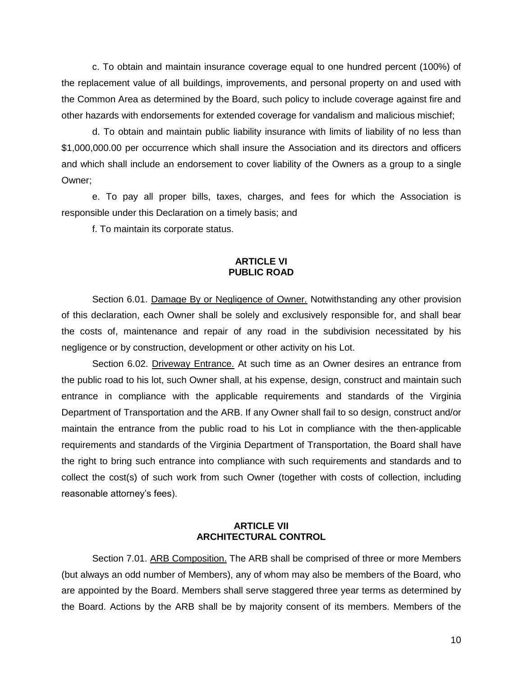c. To obtain and maintain insurance coverage equal to one hundred percent (100%) of the replacement value of all buildings, improvements, and personal property on and used with the Common Area as determined by the Board, such policy to include coverage against fire and other hazards with endorsements for extended coverage for vandalism and malicious mischief;

d. To obtain and maintain public liability insurance with limits of liability of no less than \$1,000,000.00 per occurrence which shall insure the Association and its directors and officers and which shall include an endorsement to cover liability of the Owners as a group to a single Owner;

e. To pay all proper bills, taxes, charges, and fees for which the Association is responsible under this Declaration on a timely basis; and

f. To maintain its corporate status.

#### **ARTICLE VI PUBLIC ROAD**

<span id="page-15-1"></span><span id="page-15-0"></span>Section 6.01. Damage By or Negligence of Owner. Notwithstanding any other provision of this declaration, each Owner shall be solely and exclusively responsible for, and shall bear the costs of, maintenance and repair of any road in the subdivision necessitated by his negligence or by construction, development or other activity on his Lot.

<span id="page-15-2"></span>Section 6.02. Driveway Entrance. At such time as an Owner desires an entrance from the public road to his lot, such Owner shall, at his expense, design, construct and maintain such entrance in compliance with the applicable requirements and standards of the Virginia Department of Transportation and the ARB. If any Owner shall fail to so design, construct and/or maintain the entrance from the public road to his Lot in compliance with the then-applicable requirements and standards of the Virginia Department of Transportation, the Board shall have the right to bring such entrance into compliance with such requirements and standards and to collect the cost(s) of such work from such Owner (together with costs of collection, including reasonable attorney's fees).

#### **ARTICLE VII ARCHITECTURAL CONTROL**

<span id="page-15-4"></span><span id="page-15-3"></span>Section 7.01. ARB Composition. The ARB shall be comprised of three or more Members (but always an odd number of Members), any of whom may also be members of the Board, who are appointed by the Board. Members shall serve staggered three year terms as determined by the Board. Actions by the ARB shall be by majority consent of its members. Members of the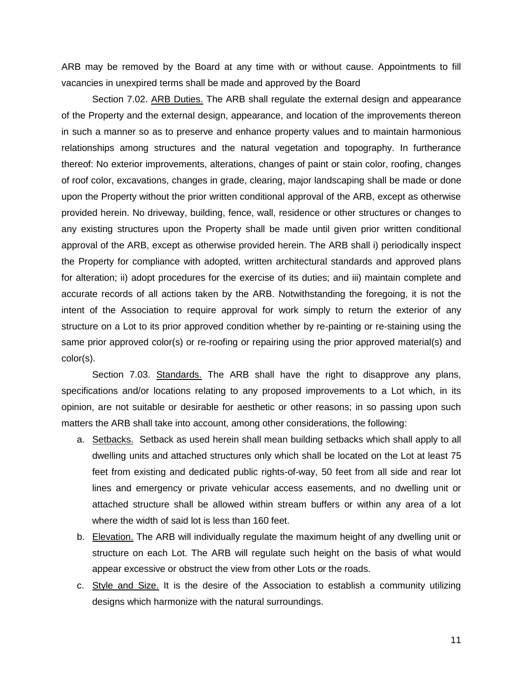ARB may be removed by the Board at any time with or without cause. Appointments to fill vacancies in unexpired terms shall be made and approved by the Board

<span id="page-16-0"></span>Section 7.02. ARB Duties. The ARB shall regulate the external design and appearance of the Property and the external design, appearance, and location of the improvements thereon in such a manner so as to preserve and enhance property values and to maintain harmonious relationships among structures and the natural vegetation and topography. In furtherance thereof: No exterior improvements, alterations, changes of paint or stain color, roofing, changes of roof color, excavations, changes in grade, clearing, major landscaping shall be made or done upon the Property without the prior written conditional approval of the ARB, except as otherwise provided herein. No driveway, building, fence, wall, residence or other structures or changes to any existing structures upon the Property shall be made until given prior written conditional approval of the ARB, except as otherwise provided herein. The ARB shall i) periodically inspect the Property for compliance with adopted, written architectural standards and approved plans for alteration; ii) adopt procedures for the exercise of its duties; and iii) maintain complete and accurate records of all actions taken by the ARB. Notwithstanding the foregoing, it is not the intent of the Association to require approval for work simply to return the exterior of any structure on a Lot to its prior approved condition whether by re-painting or re-staining using the same prior approved color(s) or re-roofing or repairing using the prior approved material(s) and color(s).

<span id="page-16-1"></span>Section 7.03. Standards. The ARB shall have the right to disapprove any plans, specifications and/or locations relating to any proposed improvements to a Lot which, in its opinion, are not suitable or desirable for aesthetic or other reasons; in so passing upon such matters the ARB shall take into account, among other considerations, the following:

- a. Setbacks. Setback as used herein shall mean building setbacks which shall apply to all dwelling units and attached structures only which shall be located on the Lot at least 75 feet from existing and dedicated public rights-of-way, 50 feet from all side and rear lot lines and emergency or private vehicular access easements, and no dwelling unit or attached structure shall be allowed within stream buffers or within any area of a lot where the width of said lot is less than 160 feet.
- b. Elevation. The ARB will individually regulate the maximum height of any dwelling unit or structure on each Lot. The ARB will regulate such height on the basis of what would appear excessive or obstruct the view from other Lots or the roads.
- c. Style and Size. It is the desire of the Association to establish a community utilizing designs which harmonize with the natural surroundings.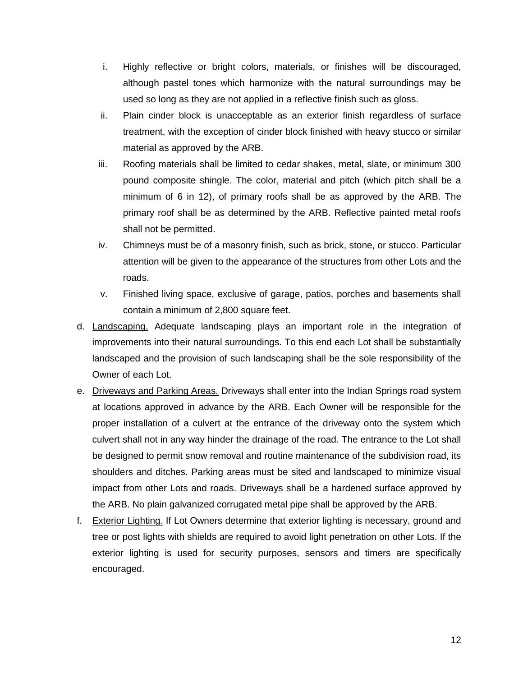- i. Highly reflective or bright colors, materials, or finishes will be discouraged, although pastel tones which harmonize with the natural surroundings may be used so long as they are not applied in a reflective finish such as gloss.
- ii. Plain cinder block is unacceptable as an exterior finish regardless of surface treatment, with the exception of cinder block finished with heavy stucco or similar material as approved by the ARB.
- iii. Roofing materials shall be limited to cedar shakes, metal, slate, or minimum 300 pound composite shingle. The color, material and pitch (which pitch shall be a minimum of 6 in 12), of primary roofs shall be as approved by the ARB. The primary roof shall be as determined by the ARB. Reflective painted metal roofs shall not be permitted.
- iv. Chimneys must be of a masonry finish, such as brick, stone, or stucco. Particular attention will be given to the appearance of the structures from other Lots and the roads.
- v. Finished living space, exclusive of garage, patios, porches and basements shall contain a minimum of 2,800 square feet.
- d. Landscaping. Adequate landscaping plays an important role in the integration of improvements into their natural surroundings. To this end each Lot shall be substantially landscaped and the provision of such landscaping shall be the sole responsibility of the Owner of each Lot.
- e. Driveways and Parking Areas. Driveways shall enter into the Indian Springs road system at locations approved in advance by the ARB. Each Owner will be responsible for the proper installation of a culvert at the entrance of the driveway onto the system which culvert shall not in any way hinder the drainage of the road. The entrance to the Lot shall be designed to permit snow removal and routine maintenance of the subdivision road, its shoulders and ditches. Parking areas must be sited and landscaped to minimize visual impact from other Lots and roads. Driveways shall be a hardened surface approved by the ARB. No plain galvanized corrugated metal pipe shall be approved by the ARB.
- f. Exterior Lighting. If Lot Owners determine that exterior lighting is necessary, ground and tree or post lights with shields are required to avoid light penetration on other Lots. If the exterior lighting is used for security purposes, sensors and timers are specifically encouraged.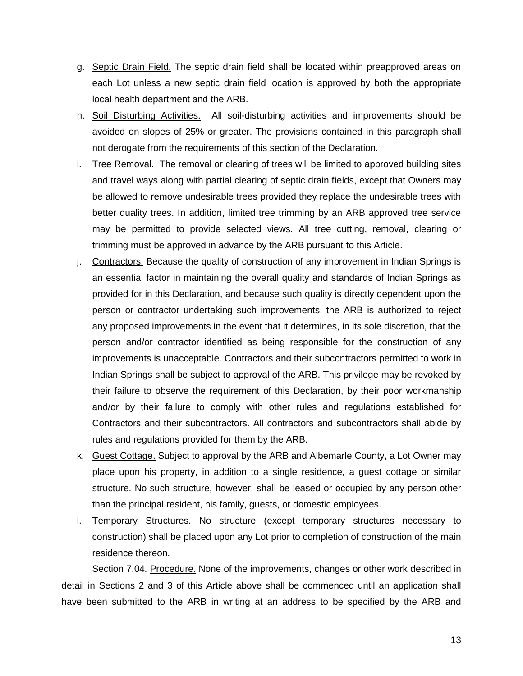- g. Septic Drain Field. The septic drain field shall be located within preapproved areas on each Lot unless a new septic drain field location is approved by both the appropriate local health department and the ARB.
- h. Soil Disturbing Activities. All soil-disturbing activities and improvements should be avoided on slopes of 25% or greater. The provisions contained in this paragraph shall not derogate from the requirements of this section of the Declaration.
- i. Tree Removal. The removal or clearing of trees will be limited to approved building sites and travel ways along with partial clearing of septic drain fields, except that Owners may be allowed to remove undesirable trees provided they replace the undesirable trees with better quality trees. In addition, limited tree trimming by an ARB approved tree service may be permitted to provide selected views. All tree cutting, removal, clearing or trimming must be approved in advance by the ARB pursuant to this Article.
- j. Contractors. Because the quality of construction of any improvement in Indian Springs is an essential factor in maintaining the overall quality and standards of Indian Springs as provided for in this Declaration, and because such quality is directly dependent upon the person or contractor undertaking such improvements, the ARB is authorized to reject any proposed improvements in the event that it determines, in its sole discretion, that the person and/or contractor identified as being responsible for the construction of any improvements is unacceptable. Contractors and their subcontractors permitted to work in Indian Springs shall be subject to approval of the ARB. This privilege may be revoked by their failure to observe the requirement of this Declaration, by their poor workmanship and/or by their failure to comply with other rules and regulations established for Contractors and their subcontractors. All contractors and subcontractors shall abide by rules and regulations provided for them by the ARB.
- k. Guest Cottage. Subject to approval by the ARB and Albemarle County, a Lot Owner may place upon his property, in addition to a single residence, a guest cottage or similar structure. No such structure, however, shall be leased or occupied by any person other than the principal resident, his family, guests, or domestic employees.
- l. Temporary Structures. No structure (except temporary structures necessary to construction) shall be placed upon any Lot prior to completion of construction of the main residence thereon.

<span id="page-18-0"></span>Section 7.04. Procedure. None of the improvements, changes or other work described in detail in Sections 2 and 3 of this Article above shall be commenced until an application shall have been submitted to the ARB in writing at an address to be specified by the ARB and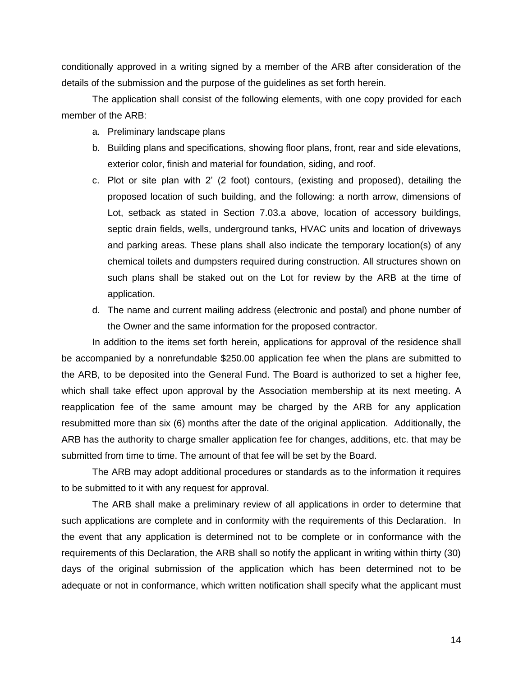conditionally approved in a writing signed by a member of the ARB after consideration of the details of the submission and the purpose of the guidelines as set forth herein.

The application shall consist of the following elements, with one copy provided for each member of the ARB:

- a. Preliminary landscape plans
- b. Building plans and specifications, showing floor plans, front, rear and side elevations, exterior color, finish and material for foundation, siding, and roof.
- c. Plot or site plan with 2' (2 foot) contours, (existing and proposed), detailing the proposed location of such building, and the following: a north arrow, dimensions of Lot, setback as stated in Section 7.03.a above, location of accessory buildings, septic drain fields, wells, underground tanks, HVAC units and location of driveways and parking areas. These plans shall also indicate the temporary location(s) of any chemical toilets and dumpsters required during construction. All structures shown on such plans shall be staked out on the Lot for review by the ARB at the time of application.
- d. The name and current mailing address (electronic and postal) and phone number of the Owner and the same information for the proposed contractor.

In addition to the items set forth herein, applications for approval of the residence shall be accompanied by a nonrefundable \$250.00 application fee when the plans are submitted to the ARB, to be deposited into the General Fund. The Board is authorized to set a higher fee, which shall take effect upon approval by the Association membership at its next meeting. A reapplication fee of the same amount may be charged by the ARB for any application resubmitted more than six (6) months after the date of the original application. Additionally, the ARB has the authority to charge smaller application fee for changes, additions, etc. that may be submitted from time to time. The amount of that fee will be set by the Board.

The ARB may adopt additional procedures or standards as to the information it requires to be submitted to it with any request for approval.

The ARB shall make a preliminary review of all applications in order to determine that such applications are complete and in conformity with the requirements of this Declaration. In the event that any application is determined not to be complete or in conformance with the requirements of this Declaration, the ARB shall so notify the applicant in writing within thirty (30) days of the original submission of the application which has been determined not to be adequate or not in conformance, which written notification shall specify what the applicant must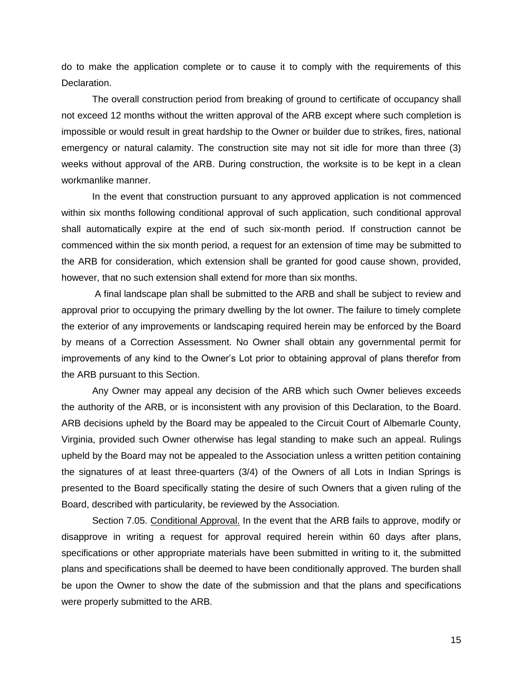do to make the application complete or to cause it to comply with the requirements of this Declaration.

The overall construction period from breaking of ground to certificate of occupancy shall not exceed 12 months without the written approval of the ARB except where such completion is impossible or would result in great hardship to the Owner or builder due to strikes, fires, national emergency or natural calamity. The construction site may not sit idle for more than three (3) weeks without approval of the ARB. During construction, the worksite is to be kept in a clean workmanlike manner.

In the event that construction pursuant to any approved application is not commenced within six months following conditional approval of such application, such conditional approval shall automatically expire at the end of such six-month period. If construction cannot be commenced within the six month period, a request for an extension of time may be submitted to the ARB for consideration, which extension shall be granted for good cause shown, provided, however, that no such extension shall extend for more than six months.

A final landscape plan shall be submitted to the ARB and shall be subject to review and approval prior to occupying the primary dwelling by the lot owner. The failure to timely complete the exterior of any improvements or landscaping required herein may be enforced by the Board by means of a Correction Assessment. No Owner shall obtain any governmental permit for improvements of any kind to the Owner's Lot prior to obtaining approval of plans therefor from the ARB pursuant to this Section.

Any Owner may appeal any decision of the ARB which such Owner believes exceeds the authority of the ARB, or is inconsistent with any provision of this Declaration, to the Board. ARB decisions upheld by the Board may be appealed to the Circuit Court of Albemarle County, Virginia, provided such Owner otherwise has legal standing to make such an appeal. Rulings upheld by the Board may not be appealed to the Association unless a written petition containing the signatures of at least three-quarters (3/4) of the Owners of all Lots in Indian Springs is presented to the Board specifically stating the desire of such Owners that a given ruling of the Board, described with particularity, be reviewed by the Association.

<span id="page-20-0"></span>Section 7.05. Conditional Approval. In the event that the ARB fails to approve, modify or disapprove in writing a request for approval required herein within 60 days after plans, specifications or other appropriate materials have been submitted in writing to it, the submitted plans and specifications shall be deemed to have been conditionally approved. The burden shall be upon the Owner to show the date of the submission and that the plans and specifications were properly submitted to the ARB.

15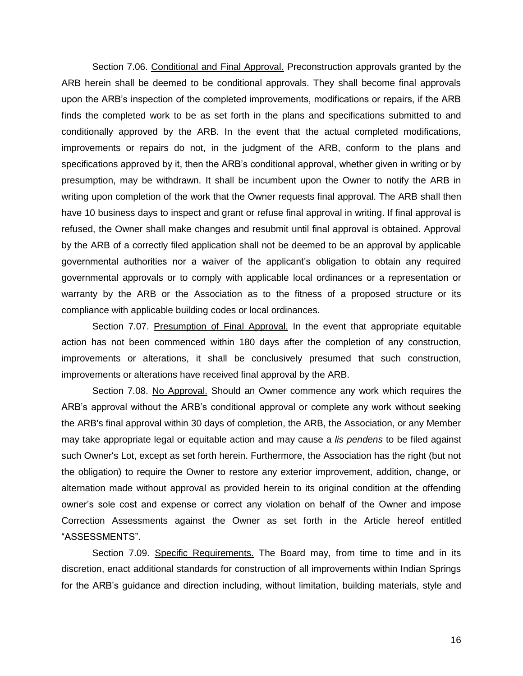<span id="page-21-0"></span>Section 7.06. Conditional and Final Approval. Preconstruction approvals granted by the ARB herein shall be deemed to be conditional approvals. They shall become final approvals upon the ARB's inspection of the completed improvements, modifications or repairs, if the ARB finds the completed work to be as set forth in the plans and specifications submitted to and conditionally approved by the ARB. In the event that the actual completed modifications, improvements or repairs do not, in the judgment of the ARB, conform to the plans and specifications approved by it, then the ARB's conditional approval, whether given in writing or by presumption, may be withdrawn. It shall be incumbent upon the Owner to notify the ARB in writing upon completion of the work that the Owner requests final approval. The ARB shall then have 10 business days to inspect and grant or refuse final approval in writing. If final approval is refused, the Owner shall make changes and resubmit until final approval is obtained. Approval by the ARB of a correctly filed application shall not be deemed to be an approval by applicable governmental authorities nor a waiver of the applicant's obligation to obtain any required governmental approvals or to comply with applicable local ordinances or a representation or warranty by the ARB or the Association as to the fitness of a proposed structure or its compliance with applicable building codes or local ordinances.

<span id="page-21-1"></span>Section 7.07. Presumption of Final Approval. In the event that appropriate equitable action has not been commenced within 180 days after the completion of any construction, improvements or alterations, it shall be conclusively presumed that such construction, improvements or alterations have received final approval by the ARB.

<span id="page-21-2"></span>Section 7.08. No Approval. Should an Owner commence any work which requires the ARB's approval without the ARB's conditional approval or complete any work without seeking the ARB's final approval within 30 days of completion, the ARB, the Association, or any Member may take appropriate legal or equitable action and may cause a *lis pendens* to be filed against such Owner's Lot, except as set forth herein. Furthermore, the Association has the right (but not the obligation) to require the Owner to restore any exterior improvement, addition, change, or alternation made without approval as provided herein to its original condition at the offending owner's sole cost and expense or correct any violation on behalf of the Owner and impose Correction Assessments against the Owner as set forth in the Article hereof entitled "ASSESSMENTS".

<span id="page-21-3"></span>Section 7.09. Specific Requirements. The Board may, from time to time and in its discretion, enact additional standards for construction of all improvements within Indian Springs for the ARB's guidance and direction including, without limitation, building materials, style and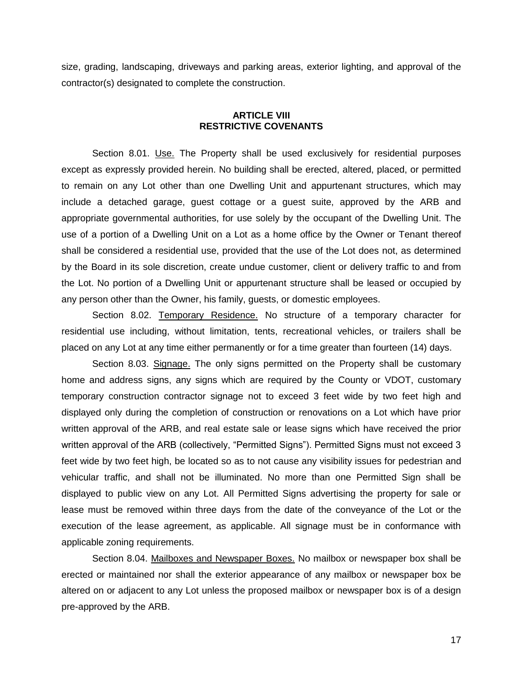size, grading, landscaping, driveways and parking areas, exterior lighting, and approval of the contractor(s) designated to complete the construction.

#### **ARTICLE VIII RESTRICTIVE COVENANTS**

<span id="page-22-1"></span><span id="page-22-0"></span>Section 8.01. Use. The Property shall be used exclusively for residential purposes except as expressly provided herein. No building shall be erected, altered, placed, or permitted to remain on any Lot other than one Dwelling Unit and appurtenant structures, which may include a detached garage, guest cottage or a guest suite, approved by the ARB and appropriate governmental authorities, for use solely by the occupant of the Dwelling Unit. The use of a portion of a Dwelling Unit on a Lot as a home office by the Owner or Tenant thereof shall be considered a residential use, provided that the use of the Lot does not, as determined by the Board in its sole discretion, create undue customer, client or delivery traffic to and from the Lot. No portion of a Dwelling Unit or appurtenant structure shall be leased or occupied by any person other than the Owner, his family, guests, or domestic employees.

<span id="page-22-2"></span>Section 8.02. Temporary Residence. No structure of a temporary character for residential use including, without limitation, tents, recreational vehicles, or trailers shall be placed on any Lot at any time either permanently or for a time greater than fourteen (14) days.

<span id="page-22-3"></span>Section 8.03. Signage. The only signs permitted on the Property shall be customary home and address signs, any signs which are required by the County or VDOT, customary temporary construction contractor signage not to exceed 3 feet wide by two feet high and displayed only during the completion of construction or renovations on a Lot which have prior written approval of the ARB, and real estate sale or lease signs which have received the prior written approval of the ARB (collectively, "Permitted Signs"). Permitted Signs must not exceed 3 feet wide by two feet high, be located so as to not cause any visibility issues for pedestrian and vehicular traffic, and shall not be illuminated. No more than one Permitted Sign shall be displayed to public view on any Lot. All Permitted Signs advertising the property for sale or lease must be removed within three days from the date of the conveyance of the Lot or the execution of the lease agreement, as applicable. All signage must be in conformance with applicable zoning requirements.

<span id="page-22-4"></span>Section 8.04. Mailboxes and Newspaper Boxes. No mailbox or newspaper box shall be erected or maintained nor shall the exterior appearance of any mailbox or newspaper box be altered on or adjacent to any Lot unless the proposed mailbox or newspaper box is of a design pre-approved by the ARB.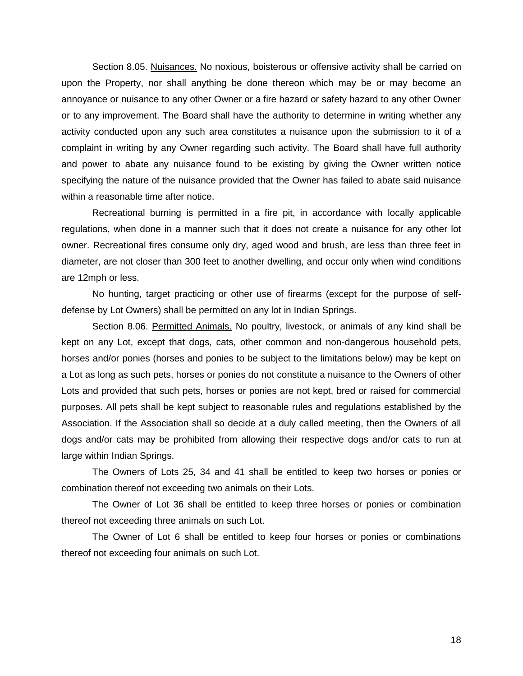<span id="page-23-0"></span>Section 8.05. Nuisances. No noxious, boisterous or offensive activity shall be carried on upon the Property, nor shall anything be done thereon which may be or may become an annoyance or nuisance to any other Owner or a fire hazard or safety hazard to any other Owner or to any improvement. The Board shall have the authority to determine in writing whether any activity conducted upon any such area constitutes a nuisance upon the submission to it of a complaint in writing by any Owner regarding such activity. The Board shall have full authority and power to abate any nuisance found to be existing by giving the Owner written notice specifying the nature of the nuisance provided that the Owner has failed to abate said nuisance within a reasonable time after notice.

Recreational burning is permitted in a fire pit, in accordance with locally applicable regulations, when done in a manner such that it does not create a nuisance for any other lot owner. Recreational fires consume only dry, aged wood and brush, are less than three feet in diameter, are not closer than 300 feet to another dwelling, and occur only when wind conditions are 12mph or less.

No hunting, target practicing or other use of firearms (except for the purpose of selfdefense by Lot Owners) shall be permitted on any lot in Indian Springs.

<span id="page-23-1"></span>Section 8.06. Permitted Animals. No poultry, livestock, or animals of any kind shall be kept on any Lot, except that dogs, cats, other common and non-dangerous household pets, horses and/or ponies (horses and ponies to be subject to the limitations below) may be kept on a Lot as long as such pets, horses or ponies do not constitute a nuisance to the Owners of other Lots and provided that such pets, horses or ponies are not kept, bred or raised for commercial purposes. All pets shall be kept subject to reasonable rules and regulations established by the Association. If the Association shall so decide at a duly called meeting, then the Owners of all dogs and/or cats may be prohibited from allowing their respective dogs and/or cats to run at large within Indian Springs.

The Owners of Lots 25, 34 and 41 shall be entitled to keep two horses or ponies or combination thereof not exceeding two animals on their Lots.

The Owner of Lot 36 shall be entitled to keep three horses or ponies or combination thereof not exceeding three animals on such Lot.

The Owner of Lot 6 shall be entitled to keep four horses or ponies or combinations thereof not exceeding four animals on such Lot.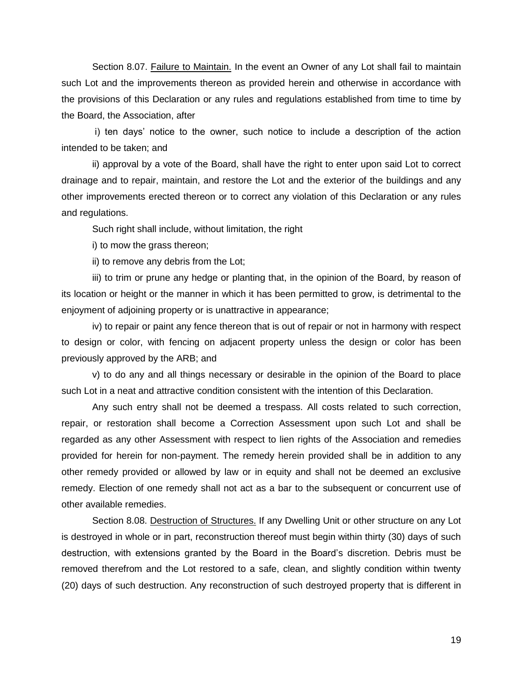<span id="page-24-0"></span>Section 8.07. Failure to Maintain. In the event an Owner of any Lot shall fail to maintain such Lot and the improvements thereon as provided herein and otherwise in accordance with the provisions of this Declaration or any rules and regulations established from time to time by the Board, the Association, after

i) ten days' notice to the owner, such notice to include a description of the action intended to be taken; and

ii) approval by a vote of the Board, shall have the right to enter upon said Lot to correct drainage and to repair, maintain, and restore the Lot and the exterior of the buildings and any other improvements erected thereon or to correct any violation of this Declaration or any rules and regulations.

Such right shall include, without limitation, the right

i) to mow the grass thereon;

ii) to remove any debris from the Lot;

iii) to trim or prune any hedge or planting that, in the opinion of the Board, by reason of its location or height or the manner in which it has been permitted to grow, is detrimental to the enjoyment of adjoining property or is unattractive in appearance;

iv) to repair or paint any fence thereon that is out of repair or not in harmony with respect to design or color, with fencing on adjacent property unless the design or color has been previously approved by the ARB; and

v) to do any and all things necessary or desirable in the opinion of the Board to place such Lot in a neat and attractive condition consistent with the intention of this Declaration.

Any such entry shall not be deemed a trespass. All costs related to such correction, repair, or restoration shall become a Correction Assessment upon such Lot and shall be regarded as any other Assessment with respect to lien rights of the Association and remedies provided for herein for non-payment. The remedy herein provided shall be in addition to any other remedy provided or allowed by law or in equity and shall not be deemed an exclusive remedy. Election of one remedy shall not act as a bar to the subsequent or concurrent use of other available remedies.

<span id="page-24-1"></span>Section 8.08. Destruction of Structures. If any Dwelling Unit or other structure on any Lot is destroyed in whole or in part, reconstruction thereof must begin within thirty (30) days of such destruction, with extensions granted by the Board in the Board's discretion. Debris must be removed therefrom and the Lot restored to a safe, clean, and slightly condition within twenty (20) days of such destruction. Any reconstruction of such destroyed property that is different in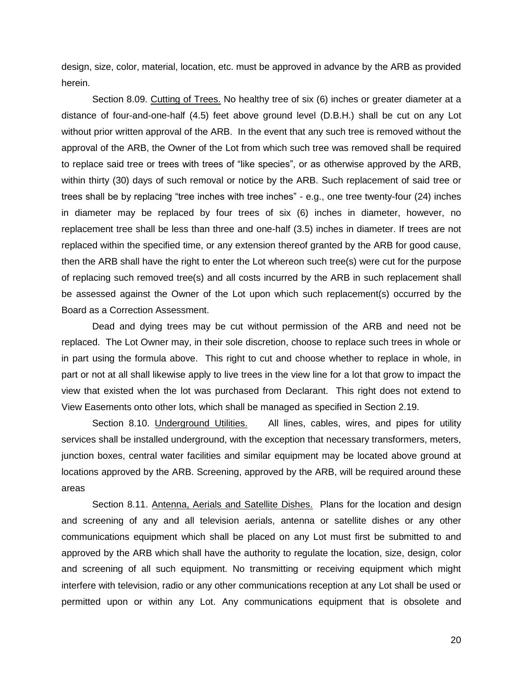design, size, color, material, location, etc. must be approved in advance by the ARB as provided herein.

<span id="page-25-0"></span>Section 8.09. Cutting of Trees. No healthy tree of six (6) inches or greater diameter at a distance of four-and-one-half (4.5) feet above ground level (D.B.H.) shall be cut on any Lot without prior written approval of the ARB. In the event that any such tree is removed without the approval of the ARB, the Owner of the Lot from which such tree was removed shall be required to replace said tree or trees with trees of "like species", or as otherwise approved by the ARB, within thirty (30) days of such removal or notice by the ARB. Such replacement of said tree or trees shall be by replacing "tree inches with tree inches" - e.g., one tree twenty-four (24) inches in diameter may be replaced by four trees of six (6) inches in diameter, however, no replacement tree shall be less than three and one-half (3.5) inches in diameter. If trees are not replaced within the specified time, or any extension thereof granted by the ARB for good cause, then the ARB shall have the right to enter the Lot whereon such tree(s) were cut for the purpose of replacing such removed tree(s) and all costs incurred by the ARB in such replacement shall be assessed against the Owner of the Lot upon which such replacement(s) occurred by the Board as a Correction Assessment.

Dead and dying trees may be cut without permission of the ARB and need not be replaced. The Lot Owner may, in their sole discretion, choose to replace such trees in whole or in part using the formula above. This right to cut and choose whether to replace in whole, in part or not at all shall likewise apply to live trees in the view line for a lot that grow to impact the view that existed when the lot was purchased from Declarant. This right does not extend to View Easements onto other lots, which shall be managed as specified in Section 2.19.

<span id="page-25-1"></span>Section 8.10. Underground Utilities. All lines, cables, wires, and pipes for utility services shall be installed underground, with the exception that necessary transformers, meters, junction boxes, central water facilities and similar equipment may be located above ground at locations approved by the ARB. Screening, approved by the ARB, will be required around these areas

<span id="page-25-2"></span>Section 8.11. Antenna, Aerials and Satellite Dishes. Plans for the location and design and screening of any and all television aerials, antenna or satellite dishes or any other communications equipment which shall be placed on any Lot must first be submitted to and approved by the ARB which shall have the authority to regulate the location, size, design, color and screening of all such equipment. No transmitting or receiving equipment which might interfere with television, radio or any other communications reception at any Lot shall be used or permitted upon or within any Lot. Any communications equipment that is obsolete and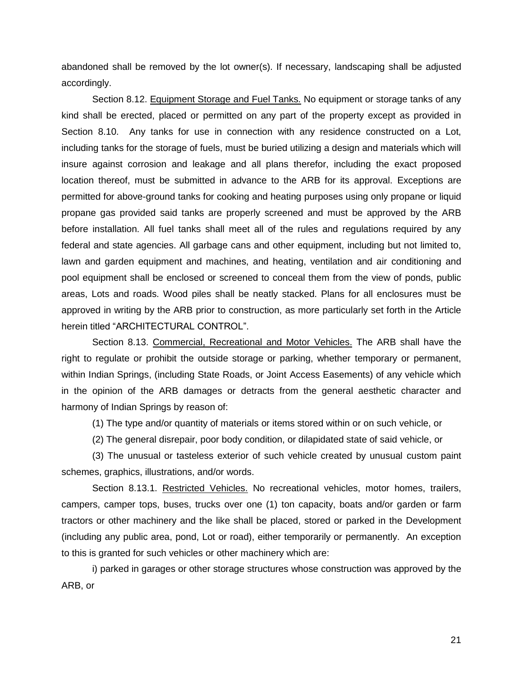abandoned shall be removed by the lot owner(s). If necessary, landscaping shall be adjusted accordingly.

<span id="page-26-0"></span>Section 8.12. Equipment Storage and Fuel Tanks. No equipment or storage tanks of any kind shall be erected, placed or permitted on any part of the property except as provided in Section 8.10. Any tanks for use in connection with any residence constructed on a Lot, including tanks for the storage of fuels, must be buried utilizing a design and materials which will insure against corrosion and leakage and all plans therefor, including the exact proposed location thereof, must be submitted in advance to the ARB for its approval. Exceptions are permitted for above-ground tanks for cooking and heating purposes using only propane or liquid propane gas provided said tanks are properly screened and must be approved by the ARB before installation. All fuel tanks shall meet all of the rules and regulations required by any federal and state agencies. All garbage cans and other equipment, including but not limited to, lawn and garden equipment and machines, and heating, ventilation and air conditioning and pool equipment shall be enclosed or screened to conceal them from the view of ponds, public areas, Lots and roads. Wood piles shall be neatly stacked. Plans for all enclosures must be approved in writing by the ARB prior to construction, as more particularly set forth in the Article herein titled "ARCHITECTURAL CONTROL".

<span id="page-26-1"></span>Section 8.13. Commercial, Recreational and Motor Vehicles. The ARB shall have the right to regulate or prohibit the outside storage or parking, whether temporary or permanent, within Indian Springs, (including State Roads, or Joint Access Easements) of any vehicle which in the opinion of the ARB damages or detracts from the general aesthetic character and harmony of Indian Springs by reason of:

(1) The type and/or quantity of materials or items stored within or on such vehicle, or

(2) The general disrepair, poor body condition, or dilapidated state of said vehicle, or

(3) The unusual or tasteless exterior of such vehicle created by unusual custom paint schemes, graphics, illustrations, and/or words.

<span id="page-26-2"></span>Section 8.13.1. Restricted Vehicles. No recreational vehicles, motor homes, trailers, campers, camper tops, buses, trucks over one (1) ton capacity, boats and/or garden or farm tractors or other machinery and the like shall be placed, stored or parked in the Development (including any public area, pond, Lot or road), either temporarily or permanently. An exception to this is granted for such vehicles or other machinery which are:

i) parked in garages or other storage structures whose construction was approved by the ARB, or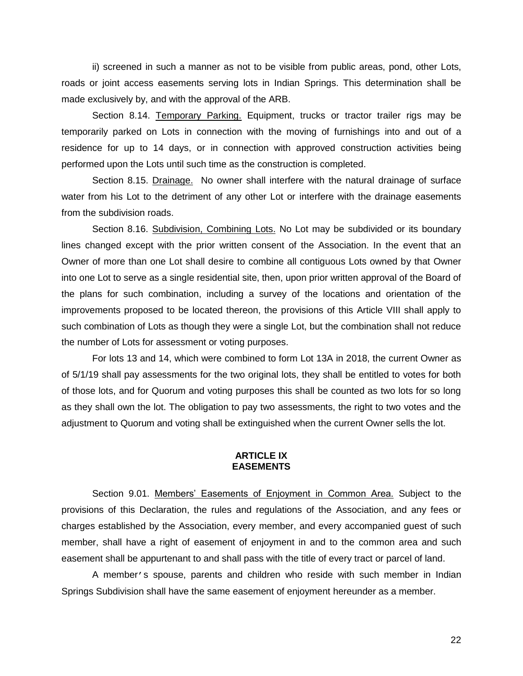ii) screened in such a manner as not to be visible from public areas, pond, other Lots, roads or joint access easements serving lots in Indian Springs. This determination shall be made exclusively by, and with the approval of the ARB.

<span id="page-27-0"></span>Section 8.14. Temporary Parking. Equipment, trucks or tractor trailer rigs may be temporarily parked on Lots in connection with the moving of furnishings into and out of a residence for up to 14 days, or in connection with approved construction activities being performed upon the Lots until such time as the construction is completed.

<span id="page-27-1"></span>Section 8.15. Drainage. No owner shall interfere with the natural drainage of surface water from his Lot to the detriment of any other Lot or interfere with the drainage easements from the subdivision roads.

<span id="page-27-2"></span>Section 8.16. Subdivision, Combining Lots. No Lot may be subdivided or its boundary lines changed except with the prior written consent of the Association. In the event that an Owner of more than one Lot shall desire to combine all contiguous Lots owned by that Owner into one Lot to serve as a single residential site, then, upon prior written approval of the Board of the plans for such combination, including a survey of the locations and orientation of the improvements proposed to be located thereon, the provisions of this Article VIII shall apply to such combination of Lots as though they were a single Lot, but the combination shall not reduce the number of Lots for assessment or voting purposes.

For lots 13 and 14, which were combined to form Lot 13A in 2018, the current Owner as of 5/1/19 shall pay assessments for the two original lots, they shall be entitled to votes for both of those lots, and for Quorum and voting purposes this shall be counted as two lots for so long as they shall own the lot. The obligation to pay two assessments, the right to two votes and the adjustment to Quorum and voting shall be extinguished when the current Owner sells the lot.

#### **ARTICLE IX EASEMENTS**

<span id="page-27-4"></span><span id="page-27-3"></span>Section 9.01. Members' Easements of Enjoyment in Common Area. Subject to the provisions of this Declaration, the rules and regulations of the Association, and any fees or charges established by the Association, every member, and every accompanied guest of such member, shall have a right of easement of enjoyment in and to the common area and such easement shall be appurtenant to and shall pass with the title of every tract or parcel of land.

A member's spouse, parents and children who reside with such member in Indian Springs Subdivision shall have the same easement of enjoyment hereunder as a member.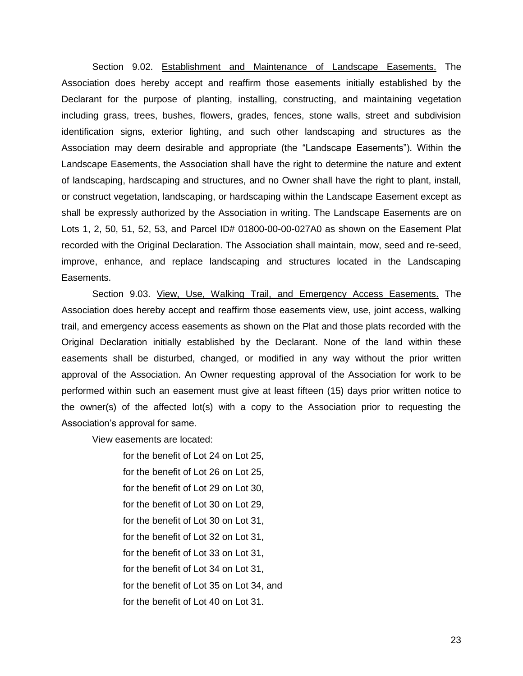<span id="page-28-0"></span>Section 9.02. Establishment and Maintenance of Landscape Easements. The Association does hereby accept and reaffirm those easements initially established by the Declarant for the purpose of planting, installing, constructing, and maintaining vegetation including grass, trees, bushes, flowers, grades, fences, stone walls, street and subdivision identification signs, exterior lighting, and such other landscaping and structures as the Association may deem desirable and appropriate (the "Landscape Easements"). Within the Landscape Easements, the Association shall have the right to determine the nature and extent of landscaping, hardscaping and structures, and no Owner shall have the right to plant, install, or construct vegetation, landscaping, or hardscaping within the Landscape Easement except as shall be expressly authorized by the Association in writing. The Landscape Easements are on Lots 1, 2, 50, 51, 52, 53, and Parcel ID# 01800-00-00-027A0 as shown on the Easement Plat recorded with the Original Declaration. The Association shall maintain, mow, seed and re-seed, improve, enhance, and replace landscaping and structures located in the Landscaping Easements.

<span id="page-28-1"></span>Section 9.03. View, Use, Walking Trail, and Emergency Access Easements. The Association does hereby accept and reaffirm those easements view, use, joint access, walking trail, and emergency access easements as shown on the Plat and those plats recorded with the Original Declaration initially established by the Declarant. None of the land within these easements shall be disturbed, changed, or modified in any way without the prior written approval of the Association. An Owner requesting approval of the Association for work to be performed within such an easement must give at least fifteen (15) days prior written notice to the owner(s) of the affected lot(s) with a copy to the Association prior to requesting the Association's approval for same.

View easements are located:

for the benefit of Lot 24 on Lot 25, for the benefit of Lot 26 on Lot 25, for the benefit of Lot 29 on Lot 30, for the benefit of Lot 30 on Lot 29, for the benefit of Lot 30 on Lot 31, for the benefit of Lot 32 on Lot 31, for the benefit of Lot 33 on Lot 31, for the benefit of Lot 34 on Lot 31, for the benefit of Lot 35 on Lot 34, and for the benefit of Lot 40 on Lot 31.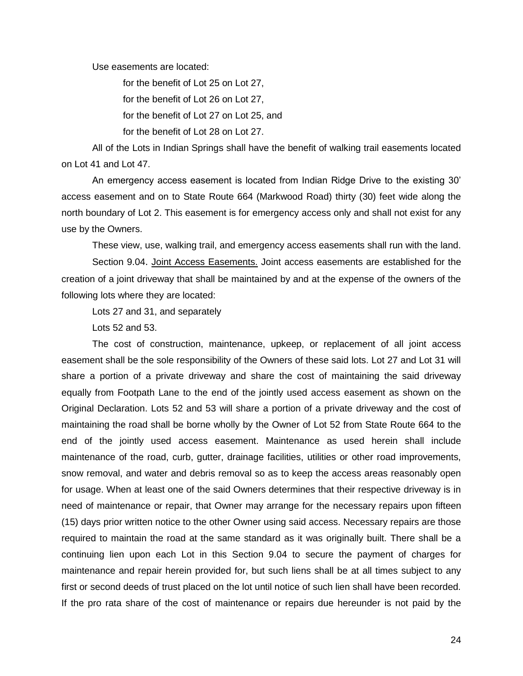Use easements are located:

for the benefit of Lot 25 on Lot 27,

for the benefit of Lot 26 on Lot 27,

for the benefit of Lot 27 on Lot 25, and

for the benefit of Lot 28 on Lot 27.

All of the Lots in Indian Springs shall have the benefit of walking trail easements located on Lot 41 and Lot 47.

An emergency access easement is located from Indian Ridge Drive to the existing 30' access easement and on to State Route 664 (Markwood Road) thirty (30) feet wide along the north boundary of Lot 2. This easement is for emergency access only and shall not exist for any use by the Owners.

These view, use, walking trail, and emergency access easements shall run with the land.

<span id="page-29-0"></span>Section 9.04. Joint Access Easements. Joint access easements are established for the creation of a joint driveway that shall be maintained by and at the expense of the owners of the following lots where they are located:

Lots 27 and 31, and separately

Lots 52 and 53.

The cost of construction, maintenance, upkeep, or replacement of all joint access easement shall be the sole responsibility of the Owners of these said lots. Lot 27 and Lot 31 will share a portion of a private driveway and share the cost of maintaining the said driveway equally from Footpath Lane to the end of the jointly used access easement as shown on the Original Declaration. Lots 52 and 53 will share a portion of a private driveway and the cost of maintaining the road shall be borne wholly by the Owner of Lot 52 from State Route 664 to the end of the jointly used access easement. Maintenance as used herein shall include maintenance of the road, curb, gutter, drainage facilities, utilities or other road improvements, snow removal, and water and debris removal so as to keep the access areas reasonably open for usage. When at least one of the said Owners determines that their respective driveway is in need of maintenance or repair, that Owner may arrange for the necessary repairs upon fifteen (15) days prior written notice to the other Owner using said access. Necessary repairs are those required to maintain the road at the same standard as it was originally built. There shall be a continuing lien upon each Lot in this Section 9.04 to secure the payment of charges for maintenance and repair herein provided for, but such liens shall be at all times subject to any first or second deeds of trust placed on the lot until notice of such lien shall have been recorded. If the pro rata share of the cost of maintenance or repairs due hereunder is not paid by the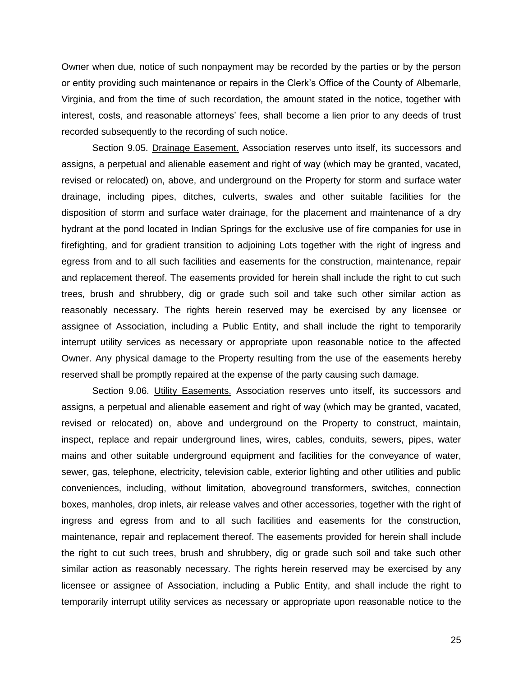Owner when due, notice of such nonpayment may be recorded by the parties or by the person or entity providing such maintenance or repairs in the Clerk's Office of the County of Albemarle, Virginia, and from the time of such recordation, the amount stated in the notice, together with interest, costs, and reasonable attorneys' fees, shall become a lien prior to any deeds of trust recorded subsequently to the recording of such notice.

<span id="page-30-0"></span>Section 9.05. Drainage Easement. Association reserves unto itself, its successors and assigns, a perpetual and alienable easement and right of way (which may be granted, vacated, revised or relocated) on, above, and underground on the Property for storm and surface water drainage, including pipes, ditches, culverts, swales and other suitable facilities for the disposition of storm and surface water drainage, for the placement and maintenance of a dry hydrant at the pond located in Indian Springs for the exclusive use of fire companies for use in firefighting, and for gradient transition to adjoining Lots together with the right of ingress and egress from and to all such facilities and easements for the construction, maintenance, repair and replacement thereof. The easements provided for herein shall include the right to cut such trees, brush and shrubbery, dig or grade such soil and take such other similar action as reasonably necessary. The rights herein reserved may be exercised by any licensee or assignee of Association, including a Public Entity, and shall include the right to temporarily interrupt utility services as necessary or appropriate upon reasonable notice to the affected Owner. Any physical damage to the Property resulting from the use of the easements hereby reserved shall be promptly repaired at the expense of the party causing such damage.

<span id="page-30-1"></span>Section 9.06. Utility Easements. Association reserves unto itself, its successors and assigns, a perpetual and alienable easement and right of way (which may be granted, vacated, revised or relocated) on, above and underground on the Property to construct, maintain, inspect, replace and repair underground lines, wires, cables, conduits, sewers, pipes, water mains and other suitable underground equipment and facilities for the conveyance of water, sewer, gas, telephone, electricity, television cable, exterior lighting and other utilities and public conveniences, including, without limitation, aboveground transformers, switches, connection boxes, manholes, drop inlets, air release valves and other accessories, together with the right of ingress and egress from and to all such facilities and easements for the construction, maintenance, repair and replacement thereof. The easements provided for herein shall include the right to cut such trees, brush and shrubbery, dig or grade such soil and take such other similar action as reasonably necessary. The rights herein reserved may be exercised by any licensee or assignee of Association, including a Public Entity, and shall include the right to temporarily interrupt utility services as necessary or appropriate upon reasonable notice to the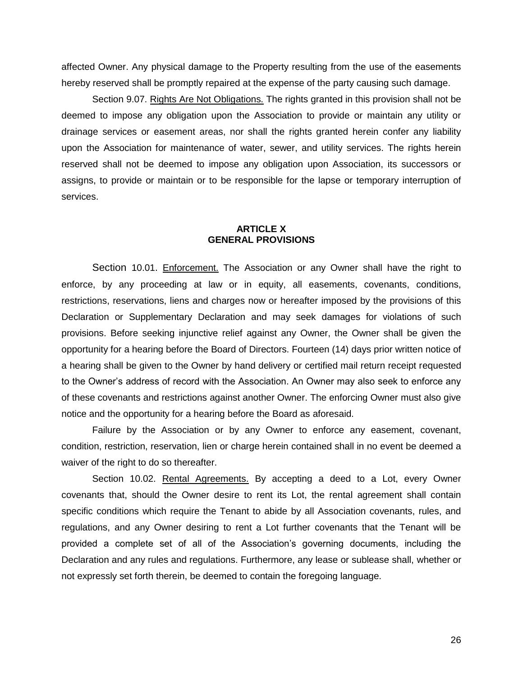affected Owner. Any physical damage to the Property resulting from the use of the easements hereby reserved shall be promptly repaired at the expense of the party causing such damage.

<span id="page-31-0"></span>Section 9.07. Rights Are Not Obligations. The rights granted in this provision shall not be deemed to impose any obligation upon the Association to provide or maintain any utility or drainage services or easement areas, nor shall the rights granted herein confer any liability upon the Association for maintenance of water, sewer, and utility services. The rights herein reserved shall not be deemed to impose any obligation upon Association, its successors or assigns, to provide or maintain or to be responsible for the lapse or temporary interruption of services.

#### **ARTICLE X GENERAL PROVISIONS**

<span id="page-31-2"></span><span id="page-31-1"></span>Section 10.01. Enforcement. The Association or any Owner shall have the right to enforce, by any proceeding at law or in equity, all easements, covenants, conditions, restrictions, reservations, liens and charges now or hereafter imposed by the provisions of this Declaration or Supplementary Declaration and may seek damages for violations of such provisions. Before seeking injunctive relief against any Owner, the Owner shall be given the opportunity for a hearing before the Board of Directors. Fourteen (14) days prior written notice of a hearing shall be given to the Owner by hand delivery or certified mail return receipt requested to the Owner's address of record with the Association. An Owner may also seek to enforce any of these covenants and restrictions against another Owner. The enforcing Owner must also give notice and the opportunity for a hearing before the Board as aforesaid.

Failure by the Association or by any Owner to enforce any easement, covenant, condition, restriction, reservation, lien or charge herein contained shall in no event be deemed a waiver of the right to do so thereafter.

<span id="page-31-3"></span>Section 10.02. Rental Agreements. By accepting a deed to a Lot, every Owner covenants that, should the Owner desire to rent its Lot, the rental agreement shall contain specific conditions which require the Tenant to abide by all Association covenants, rules, and regulations, and any Owner desiring to rent a Lot further covenants that the Tenant will be provided a complete set of all of the Association's governing documents, including the Declaration and any rules and regulations. Furthermore, any lease or sublease shall, whether or not expressly set forth therein, be deemed to contain the foregoing language.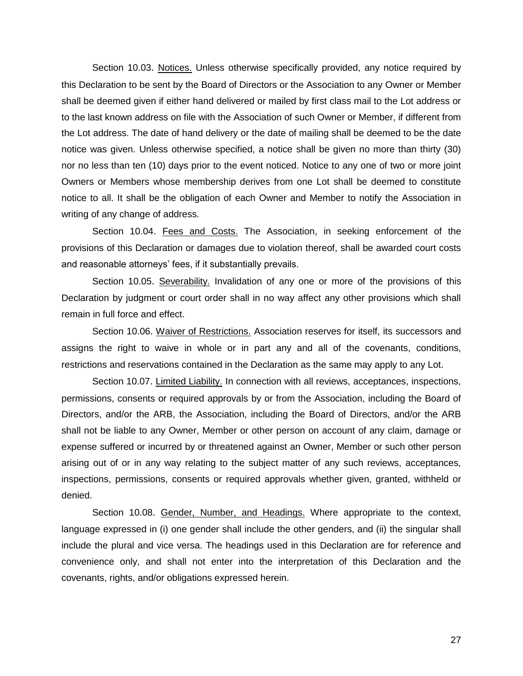<span id="page-32-0"></span>Section 10.03. Notices. Unless otherwise specifically provided, any notice required by this Declaration to be sent by the Board of Directors or the Association to any Owner or Member shall be deemed given if either hand delivered or mailed by first class mail to the Lot address or to the last known address on file with the Association of such Owner or Member, if different from the Lot address. The date of hand delivery or the date of mailing shall be deemed to be the date notice was given. Unless otherwise specified, a notice shall be given no more than thirty (30) nor no less than ten (10) days prior to the event noticed. Notice to any one of two or more joint Owners or Members whose membership derives from one Lot shall be deemed to constitute notice to all. It shall be the obligation of each Owner and Member to notify the Association in writing of any change of address.

<span id="page-32-1"></span>Section 10.04. Fees and Costs. The Association, in seeking enforcement of the provisions of this Declaration or damages due to violation thereof, shall be awarded court costs and reasonable attorneys' fees, if it substantially prevails.

<span id="page-32-2"></span>Section 10.05. Severability. Invalidation of any one or more of the provisions of this Declaration by judgment or court order shall in no way affect any other provisions which shall remain in full force and effect.

<span id="page-32-3"></span>Section 10.06. Waiver of Restrictions. Association reserves for itself, its successors and assigns the right to waive in whole or in part any and all of the covenants, conditions, restrictions and reservations contained in the Declaration as the same may apply to any Lot.

<span id="page-32-4"></span>Section 10.07. Limited Liability. In connection with all reviews, acceptances, inspections, permissions, consents or required approvals by or from the Association, including the Board of Directors, and/or the ARB, the Association, including the Board of Directors, and/or the ARB shall not be liable to any Owner, Member or other person on account of any claim, damage or expense suffered or incurred by or threatened against an Owner, Member or such other person arising out of or in any way relating to the subject matter of any such reviews, acceptances, inspections, permissions, consents or required approvals whether given, granted, withheld or denied.

<span id="page-32-5"></span>Section 10.08. Gender, Number, and Headings. Where appropriate to the context, language expressed in (i) one gender shall include the other genders, and (ii) the singular shall include the plural and vice versa. The headings used in this Declaration are for reference and convenience only, and shall not enter into the interpretation of this Declaration and the covenants, rights, and/or obligations expressed herein.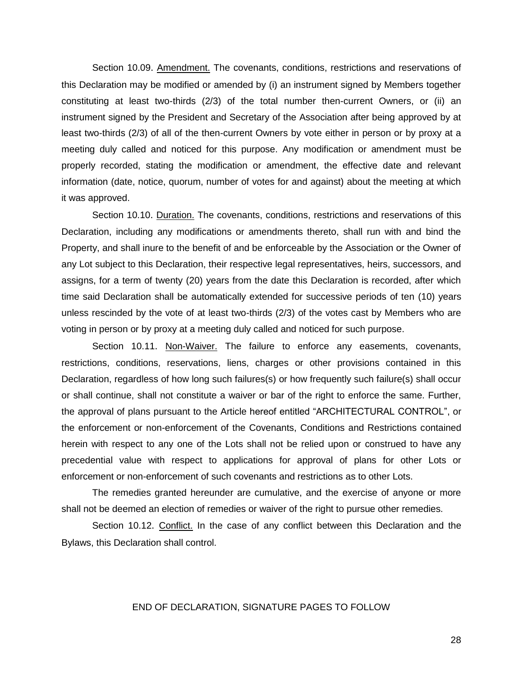<span id="page-33-0"></span>Section 10.09. Amendment. The covenants, conditions, restrictions and reservations of this Declaration may be modified or amended by (i) an instrument signed by Members together constituting at least two-thirds (2/3) of the total number then-current Owners, or (ii) an instrument signed by the President and Secretary of the Association after being approved by at least two-thirds (2/3) of all of the then-current Owners by vote either in person or by proxy at a meeting duly called and noticed for this purpose. Any modification or amendment must be properly recorded, stating the modification or amendment, the effective date and relevant information (date, notice, quorum, number of votes for and against) about the meeting at which it was approved.

<span id="page-33-1"></span>Section 10.10. Duration. The covenants, conditions, restrictions and reservations of this Declaration, including any modifications or amendments thereto, shall run with and bind the Property, and shall inure to the benefit of and be enforceable by the Association or the Owner of any Lot subject to this Declaration, their respective legal representatives, heirs, successors, and assigns, for a term of twenty (20) years from the date this Declaration is recorded, after which time said Declaration shall be automatically extended for successive periods of ten (10) years unless rescinded by the vote of at least two-thirds (2/3) of the votes cast by Members who are voting in person or by proxy at a meeting duly called and noticed for such purpose.

<span id="page-33-2"></span>Section 10.11. Non-Waiver. The failure to enforce any easements, covenants, restrictions, conditions, reservations, liens, charges or other provisions contained in this Declaration, regardless of how long such failures(s) or how frequently such failure(s) shall occur or shall continue, shall not constitute a waiver or bar of the right to enforce the same. Further, the approval of plans pursuant to the Article hereof entitled "ARCHITECTURAL CONTROL", or the enforcement or non-enforcement of the Covenants, Conditions and Restrictions contained herein with respect to any one of the Lots shall not be relied upon or construed to have any precedential value with respect to applications for approval of plans for other Lots or enforcement or non-enforcement of such covenants and restrictions as to other Lots.

The remedies granted hereunder are cumulative, and the exercise of anyone or more shall not be deemed an election of remedies or waiver of the right to pursue other remedies.

<span id="page-33-3"></span>Section 10.12. Conflict. In the case of any conflict between this Declaration and the Bylaws, this Declaration shall control.

#### END OF DECLARATION, SIGNATURE PAGES TO FOLLOW

28